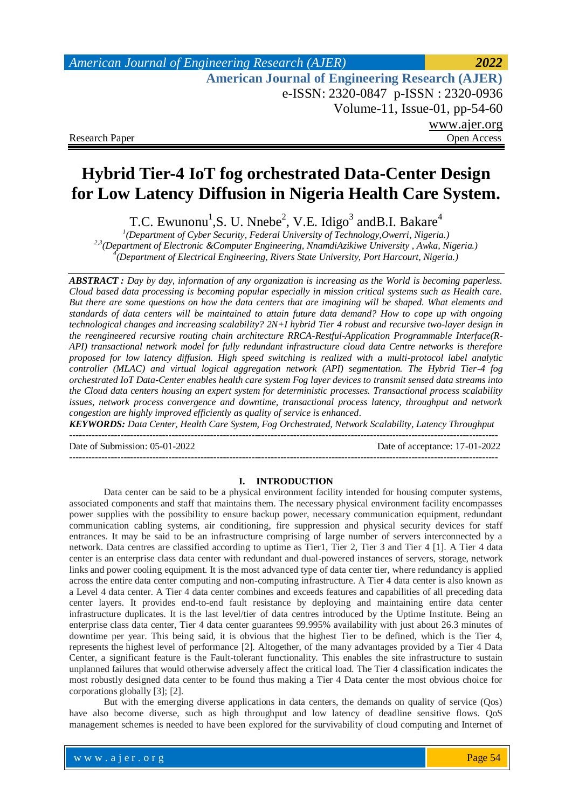# **Hybrid Tier-4 IoT fog orchestrated Data-Center Design for Low Latency Diffusion in Nigeria Health Care System.**

T.C. Ewunonu<sup>1</sup>,S. U. Nnebe<sup>2</sup>, V.E. Idigo<sup>3</sup> and B.I. Bakare<sup>4</sup>

*1 (Department of Cyber Security, Federal University of Technology,Owerri, Nigeria.) 2,3(Department of Electronic &Computer Engineering, NnamdiAzikiwe University , Awka, Nigeria.) 4 (Department of Electrical Engineering, Rivers State University, Port Harcourt, Nigeria.)*

*ABSTRACT : Day by day, information of any organization is increasing as the World is becoming paperless. Cloud based data processing is becoming popular especially in mission critical systems such as Health care. But there are some questions on how the data centers that are imagining will be shaped. What elements and standards of data centers will be maintained to attain future data demand? How to cope up with ongoing technological changes and increasing scalability? 2N+I hybrid Tier 4 robust and recursive two-layer design in the reengineered recursive routing chain architecture RRCA-Restful-Application Programmable Interface(R-API) transactional network model for fully redundant infrastructure cloud data Centre networks is therefore proposed for low latency diffusion. High speed switching is realized with a multi-protocol label analytic controller (MLAC) and virtual logical aggregation network (API) segmentation. The Hybrid Tier-4 fog orchestrated IoT Data-Center enables health care system Fog layer devices to transmit sensed data streams into the Cloud data centers housing an expert system for deterministic processes. Transactional process scalability issues, network process convergence and downtime, transactional process latency, throughput and network congestion are highly improved efficiently as quality of service is enhanced.*

*KEYWORDS: Data Center, Health Care System, Fog Orchestrated, Network Scalability, Latency Throughput* --------------------------------------------------------------------------------------------------------------------------------------

--------------------------------------------------------------------------------------------------------------------------------------

Date of Submission: 05-01-2022 Date of acceptance: 17-01-2022

#### **I. INTRODUCTION**

Data center can be said to be a physical environment facility intended for housing computer systems, associated components and staff that maintains them. The necessary physical environment facility encompasses power supplies with the possibility to ensure backup power, necessary communication equipment, redundant communication cabling systems, air conditioning, fire suppression and physical security devices for staff entrances. It may be said to be an infrastructure comprising of large number of servers interconnected by a network. Data centres are classified according to uptime as Tier1, Tier 2, Tier 3 and Tier 4 [1]. A Tier 4 data center is an enterprise class data center with redundant and dual-powered instances of servers, storage, network links and power cooling equipment. It is the most advanced type of data center tier, where redundancy is applied across the entire data center computing and non-computing infrastructure. A Tier 4 data center is also known as a Level 4 data center. A Tier 4 data center combines and exceeds features and capabilities of all preceding data center layers. It provides end-to-end fault resistance by deploying and maintaining entire data center infrastructure duplicates. It is the last level/tier of data centres introduced by the Uptime Institute. Being an enterprise class data center, Tier 4 data center guarantees 99.995% availability with just about 26.3 minutes of downtime per year. This being said, it is obvious that the highest Tier to be defined, which is the Tier 4, represents the highest level of performance [2]. Altogether, of the many advantages provided by a Tier 4 Data Center, a significant feature is the Fault-tolerant functionality. This enables the site infrastructure to sustain unplanned failures that would otherwise adversely affect the critical load. The Tier 4 classification indicates the most robustly designed data center to be found thus making a Tier 4 Data center the most obvious choice for corporations globally [3]; [2].

But with the emerging diverse applications in data centers, the demands on quality of service (Qos) have also become diverse, such as high throughput and low latency of deadline sensitive flows. QoS management schemes is needed to have been explored for the survivability of cloud computing and Internet of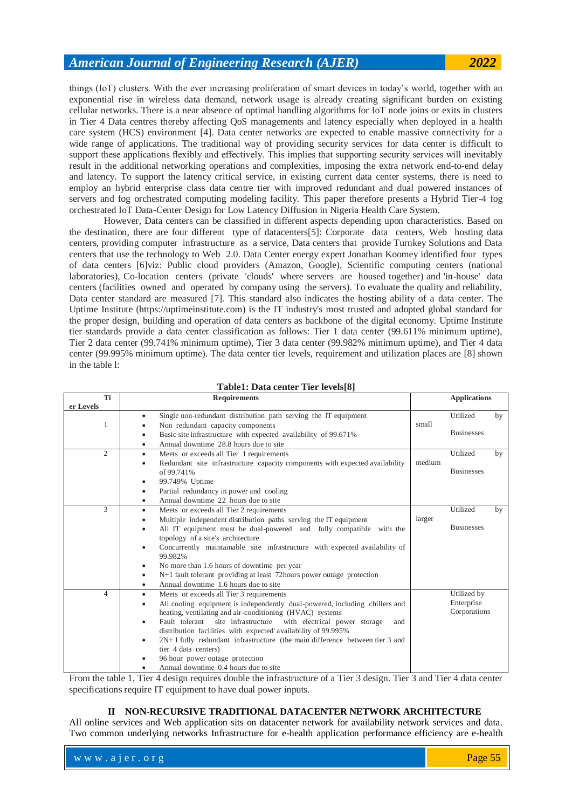things (IoT) clusters. With the ever increasing proliferation of smart devices in today's world, together with an exponential rise in wireless data demand, network usage is already creating significant burden on existing cellular networks. There is a near absence of optimal handling algorithms for IoT node joins or exits in clusters in Tier 4 Data centres thereby affecting QoS managements and latency especially when deployed in a health care system (HCS) environment [4]. Data center networks are expected to enable massive connectivity for a wide range of applications. The traditional way of providing security services for data center is difficult to support these applications flexibly and effectively. This implies that supporting security services will inevitably result in the additional networking operations and complexities, imposing the extra network end-to-end delay and latency. To support the latency critical service, in existing current data center systems, there is need to employ an hybrid enterprise class data centre tier with improved redundant and dual powered instances of servers and fog orchestrated computing modeling facility. This paper therefore presents a Hybrid Tier-4 fog orchestrated IoT Data-Center Design for Low Latency Diffusion in Nigeria Health Care System.

However, Data centers can be classified in different aspects depending upon characteristics. Based on the destination, there are four different type of datacenters[5]: Corporate data centers, Web hosting data centers, providing computer infrastructure as a service, Data centers that provide Turnkey Solutions and Data centers that use the technology to Web 2.0. Data Center energy expert Jonathan Koomey identified four types of data centers [6]viz: Public cloud providers (Amazon, Google), Scientific computing centers (national laboratories), Co-location centers (private 'clouds' where servers are housed together) and 'in-house' data centers (facilities owned and operated by company using the servers). To evaluate the quality and reliability, Data center standard are measured [7]. This standard also indicates the hosting ability of a data center. The Uptime Institute (https://uptimeinstitute.com) is the IT industry's most trusted and adopted global standard for the proper design, building and operation of data centers as backbone of the digital economy. Uptime Institute tier standards provide a data center classification as follows: Tier 1 data center (99.611% minimum uptime), Tier 2 data center (99.741% minimum uptime), Tier 3 data center (99.982% minimum uptime), and Tier 4 data center (99.995% minimum uptime). The data center tier levels, requirement and utilization places are [8] shown in the table l:

| Ti             | <b>Requirements</b>                                                                | <b>Applications</b> |                   |    |
|----------------|------------------------------------------------------------------------------------|---------------------|-------------------|----|
| er Levels      |                                                                                    |                     |                   |    |
|                | Single non-redundant distribution path serving the IT equipment<br>٠               |                     | Utilized          | by |
| 1              | Non redundant capacity components                                                  | small               |                   |    |
|                | Basic site infrastructure with expected availability of 99.671%<br>٠               |                     | <b>Businesses</b> |    |
|                | Annual downtime 28.8 hours due to site<br>٠                                        |                     |                   |    |
| $\overline{2}$ | Meets or exceeds all Tier 1 requirements<br>٠                                      |                     | Utilized          | by |
|                | Redundant site infrastructure capacity components with expected availability<br>٠  | medium              |                   |    |
|                | of 99.741%                                                                         |                     | <b>Businesses</b> |    |
|                | 99.749% Uptime<br>٠                                                                |                     |                   |    |
|                | Partial redundancy in power and cooling<br>٠                                       |                     |                   |    |
|                | Annual downtime 22 hours due to site<br>٠                                          |                     |                   |    |
| 3              | Meets or exceeds all Tier 2 requirements<br>٠                                      |                     | Utilized          | by |
|                | Multiple independent distribution paths serving the IT equipment<br>٠              | larger              |                   |    |
|                | All IT equipment must be dual-powered and fully compatible with the<br>٠           |                     | <b>Businesses</b> |    |
|                | topology of a site's architecture                                                  |                     |                   |    |
|                | Concurrently maintainable site infrastructure with expected availability of<br>٠   |                     |                   |    |
|                | 99.982%                                                                            |                     |                   |    |
|                | No more than 1.6 hours of downtime per year<br>٠                                   |                     |                   |    |
|                | N+1 fault tolerant providing at least 72 hours power outage protection<br>٠        |                     |                   |    |
|                | Annual downtime 1.6 hours due to site<br>٠                                         |                     |                   |    |
| $\overline{4}$ | Meets or exceeds all Tier 3 requirements<br>٠                                      |                     | Utilized by       |    |
|                | All cooling equipment is independently dual-powered, including chillers and<br>٠   |                     | Enterprise        |    |
|                | heating, ventilating and air-conditioning (HVAC) systems                           |                     | Corporations      |    |
|                | Fault tolerant<br>site infrastructure<br>with electrical power storage<br>and<br>٠ |                     |                   |    |
|                | distribution facilities with expected availability of 99.995%                      |                     |                   |    |
|                | $2N+I$ fully redundant infrastructure (the main difference between tier 3 and<br>٠ |                     |                   |    |
|                | tier 4 data centers)                                                               |                     |                   |    |
|                | 96 hour power outage protection                                                    |                     |                   |    |
|                | Annual downtime 0.4 hours due to site                                              |                     |                   |    |

**Table1: Data center Tier levels[8]**

From the table 1, Tier 4 design requires double the infrastructure of a Tier 3 design. Tier 3 and Tier 4 data center specifications require IT equipment to have dual power inputs.

#### **II NON-RECURSIVE TRADITIONAL DATACENTER NETWORK ARCHITECTURE**

All online services and Web application sits on datacenter network for availability network services and data. Two common underlying networks Infrastructure for e-health application performance efficiency are e-health

| www.aler.org | Page 55 |
|--------------|---------|
|--------------|---------|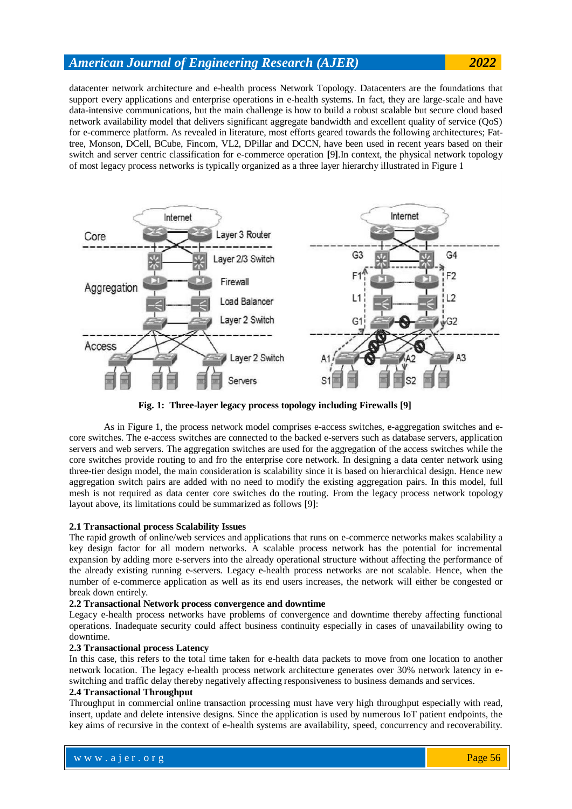datacenter network architecture and e-health process Network Topology. Datacenters are the foundations that support every applications and enterprise operations in e-health systems. In fact, they are large-scale and have data-intensive communications, but the main challenge is how to build a robust scalable but secure cloud based network availability model that delivers significant aggregate bandwidth and excellent quality of service (QoS) for e-commerce platform. As revealed in literature, most efforts geared towards the following architectures; Fattree, Monson, DCell, BCube, Fincom, VL2, DPillar and DCCN, have been used in recent years based on their switch and server centric classification for e-commerce operation **[**9**]**.In context, the physical network topology of most legacy process networks is typically organized as a three layer hierarchy illustrated in Figure 1



**Fig. 1: Three-layer legacy process topology including Firewalls [9]**

As in Figure 1, the process network model comprises e-access switches, e-aggregation switches and ecore switches. The e-access switches are connected to the backed e-servers such as database servers, application servers and web servers. The aggregation switches are used for the aggregation of the access switches while the core switches provide routing to and fro the enterprise core network. In designing a data center network using three-tier design model, the main consideration is scalability since it is based on hierarchical design. Hence new aggregation switch pairs are added with no need to modify the existing aggregation pairs. In this model, full mesh is not required as data center core switches do the routing. From the legacy process network topology layout above, its limitations could be summarized as follows [9]:

### **2.1 Transactional process Scalability Issues**

The rapid growth of online/web services and applications that runs on e-commerce networks makes scalability a key design factor for all modern networks. A scalable process network has the potential for incremental expansion by adding more e-servers into the already operational structure without affecting the performance of the already existing running e-servers. Legacy e-health process networks are not scalable. Hence, when the number of e-commerce application as well as its end users increases, the network will either be congested or break down entirely.

#### **2.2 Transactional Network process convergence and downtime**

Legacy e-health process networks have problems of convergence and downtime thereby affecting functional operations. Inadequate security could affect business continuity especially in cases of unavailability owing to downtime.

### **2.3 Transactional process Latency**

In this case, this refers to the total time taken for e-health data packets to move from one location to another network location. The legacy e-health process network architecture generates over 30% network latency in eswitching and traffic delay thereby negatively affecting responsiveness to business demands and services.

#### **2.4 Transactional Throughput**

Throughput in commercial online transaction processing must have very high throughput especially with read, insert, update and delete intensive designs. Since the application is used by numerous IoT patient endpoints, the key aims of recursive in the context of e-health systems are availability, speed, concurrency and recoverability.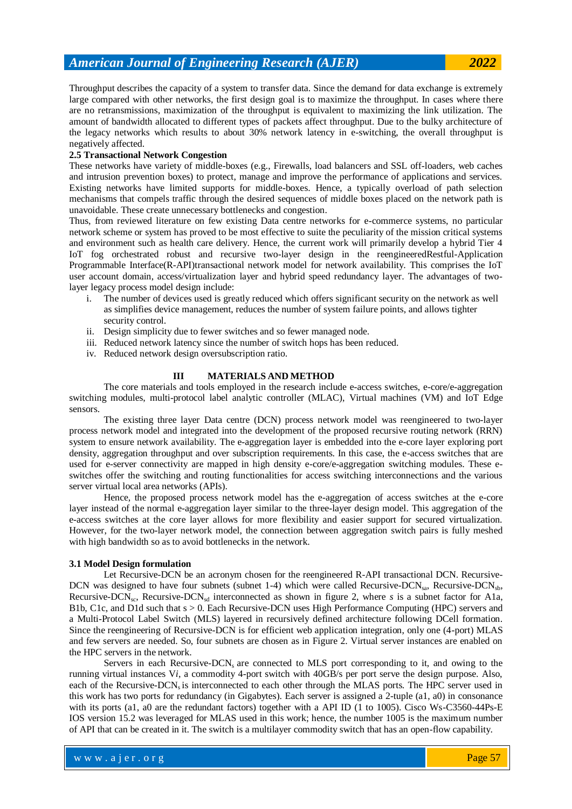Throughput describes the capacity of a system to transfer data. Since the demand for data exchange is extremely large compared with other networks, the first design goal is to maximize the throughput. In cases where there are no retransmissions, maximization of the throughput is equivalent to maximizing the link utilization. The amount of bandwidth allocated to different types of packets affect throughput. Due to the bulky architecture of the legacy networks which results to about 30% network latency in e-switching, the overall throughput is negatively affected.

#### **2.5 Transactional Network Congestion**

These networks have variety of middle-boxes (e.g., Firewalls, load balancers and SSL off-loaders, web caches and intrusion prevention boxes) to protect, manage and improve the performance of applications and services. Existing networks have limited supports for middle-boxes. Hence, a typically overload of path selection mechanisms that compels traffic through the desired sequences of middle boxes placed on the network path is unavoidable. These create unnecessary bottlenecks and congestion.

Thus, from reviewed literature on few existing Data centre networks for e-commerce systems, no particular network scheme or system has proved to be most effective to suite the peculiarity of the mission critical systems and environment such as health care delivery. Hence, the current work will primarily develop a hybrid Tier 4 IoT fog orchestrated robust and recursive two-layer design in the reengineeredRestful-Application Programmable Interface(R-API)transactional network model for network availability. This comprises the IoT user account domain, access/virtualization layer and hybrid speed redundancy layer. The advantages of twolayer legacy process model design include:

- i. The number of devices used is greatly reduced which offers significant security on the network as well as simplifies device management, reduces the number of system failure points, and allows tighter security control.
- ii. Design simplicity due to fewer switches and so fewer managed node.
- iii. Reduced network latency since the number of switch hops has been reduced.
- iv. Reduced network design oversubscription ratio.

#### **III MATERIALS AND METHOD**

The core materials and tools employed in the research include e-access switches, e-core/e-aggregation switching modules, multi-protocol label analytic controller (MLAC), Virtual machines (VM) and IoT Edge sensors.

The existing three layer Data centre (DCN) process network model was reengineered to two-layer process network model and integrated into the development of the proposed recursive routing network (RRN) system to ensure network availability. The e-aggregation layer is embedded into the e-core layer exploring port density, aggregation throughput and over subscription requirements. In this case, the e-access switches that are used for e-server connectivity are mapped in high density e-core/e-aggregation switching modules. These eswitches offer the switching and routing functionalities for access switching interconnections and the various server virtual local area networks (APIs).

Hence, the proposed process network model has the e-aggregation of access switches at the e-core layer instead of the normal e-aggregation layer similar to the three-layer design model. This aggregation of the e-access switches at the core layer allows for more flexibility and easier support for secured virtualization. However, for the two-layer network model, the connection between aggregation switch pairs is fully meshed with high bandwidth so as to avoid bottlenecks in the network.

#### **3.1 Model Design formulation**

Let Recursive-DCN be an acronym chosen for the reengineered R-API transactional DCN. Recursive-DCN was designed to have four subnets (subnet 1-4) which were called Recursive-DCN<sub>sp</sub>, Recursive-DCN<sub>sp</sub>, Recursive-DCN<sub>sc</sub>, Recursive-DCN<sub>sd</sub> interconnected as shown in figure 2, where *s* is a subnet factor for A1a, B1b, C1c, and D1d such that s > 0. Each Recursive-DCN uses High Performance Computing (HPC) servers and a Multi-Protocol Label Switch (MLS) layered in recursively defined architecture following DCell formation. Since the reengineering of Recursive-DCN is for efficient web application integration, only one (4-port) MLAS and few servers are needed. So, four subnets are chosen as in Figure 2. Virtual server instances are enabled on the HPC servers in the network.

Servers in each Recursive-DCN<sub>s</sub> are connected to MLS port corresponding to it, and owing to the running virtual instances V*i*, a commodity 4-port switch with 40GB/s per port serve the design purpose. Also, each of the Recursive-DCN<sub>s</sub> is interconnected to each other through the MLAS ports. The HPC server used in this work has two ports for redundancy (in Gigabytes). Each server is assigned a 2-tuple (a1, a0) in consonance with its ports (a1, a0 are the redundant factors) together with a API ID (1 to 1005). Cisco Ws-C3560-44Ps-E IOS version 15.2 was leveraged for MLAS used in this work; hence, the number 1005 is the maximum number of API that can be created in it. The switch is a multilayer commodity switch that has an open-flow capability.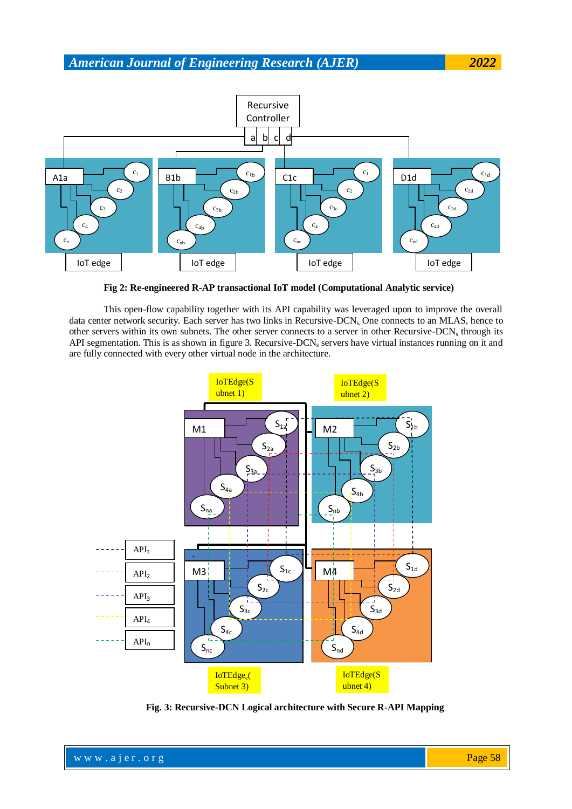

**Fig 2: Re-engineered R-AP transactional IoT model (Computational Analytic service)**

This open-flow capability together with its API capability was leveraged upon to improve the overall data center network security. Each server has two links in Recursive-DCN<sub>s</sub> One connects to an MLAS, hence to other servers within its own subnets. The other server connects to a server in other Recursive-DCN<sub>s</sub> through its API segmentation. This is as shown in figure 3. Recursive-DCN, servers have virtual instances running on it and are fully connected with every other virtual node in the architecture.



**Fig. 3: Recursive-DCN Logical architecture with Secure R-API Mapping**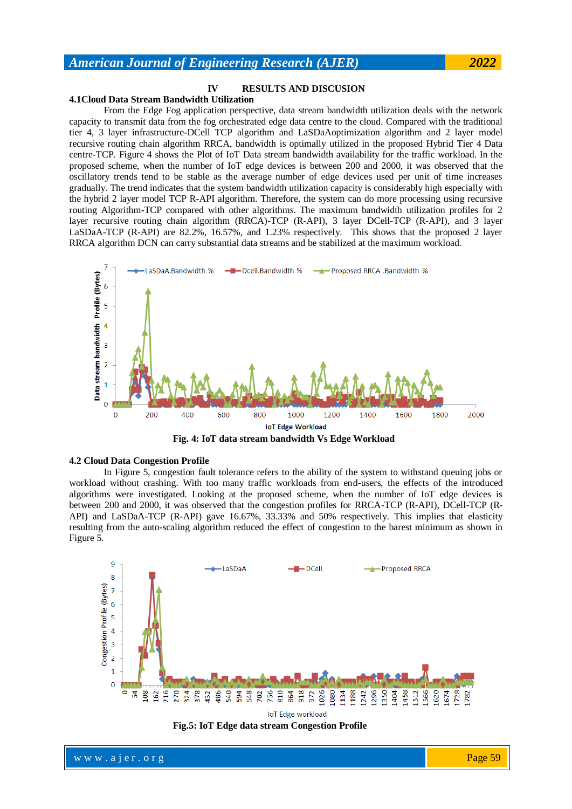### **IV RESULTS AND DISCUSION**

#### **4.1Cloud Data Stream Bandwidth Utilization**

From the Edge Fog application perspective, data stream bandwidth utilization deals with the network capacity to transmit data from the fog orchestrated edge data centre to the cloud. Compared with the traditional tier 4, 3 layer infrastructure-DCell TCP algorithm and LaSDaAoptimization algorithm and 2 layer model recursive routing chain algorithm RRCA, bandwidth is optimally utilized in the proposed Hybrid Tier 4 Data centre-TCP. Figure 4 shows the Plot of IoT Data stream bandwidth availability for the traffic workload. In the proposed scheme, when the number of IoT edge devices is between 200 and 2000, it was observed that the oscillatory trends tend to be stable as the average number of edge devices used per unit of time increases gradually. The trend indicates that the system bandwidth utilization capacity is considerably high especially with the hybrid 2 layer model TCP R-API algorithm. Therefore, the system can do more processing using recursive routing Algorithm-TCP compared with other algorithms. The maximum bandwidth utilization profiles for 2 layer recursive routing chain algorithm (RRCA)-TCP (R-API), 3 layer DCell-TCP (R-API), and 3 layer LaSDaA-TCP (R-API) are 82.2%, 16.57%, and 1.23% respectively. This shows that the proposed 2 layer RRCA algorithm DCN can carry substantial data streams and be stabilized at the maximum workload.



**Fig. 4: IoT data stream bandwidth Vs Edge Workload**

#### **4.2 Cloud Data Congestion Profile**

In Figure 5, congestion fault tolerance refers to the ability of the system to withstand queuing jobs or workload without crashing. With too many traffic workloads from end-users, the effects of the introduced algorithms were investigated. Looking at the proposed scheme, when the number of IoT edge devices is between 200 and 2000, it was observed that the congestion profiles for RRCA-TCP (R-API), DCell-TCP (R-API) and LaSDaA-TCP (R-API) gave 16.67%, 33.33% and 50% respectively. This implies that elasticity resulting from the auto-scaling algorithm reduced the effect of congestion to the barest minimum as shown in Figure 5.



**Fig.5: IoT Edge data stream Congestion Profile**